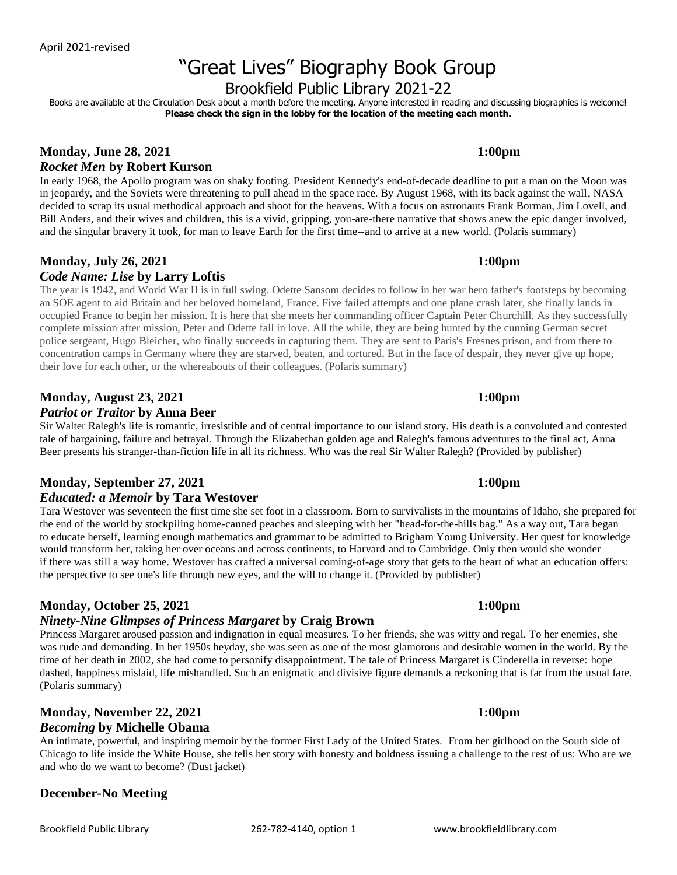# "Great Lives" Biography Book Group

Brookfield Public Library 2021-22

Books are available at the Circulation Desk about a month before the meeting. Anyone interested in reading and discussing biographies is welcome! **Please check the sign in the lobby for the location of the meeting each month.**

## **Monday, June 28, 2021 1:00pm** *Rocket Men* **by Robert Kurson**

In early 1968, the Apollo program was on shaky footing. President Kennedy's end-of-decade deadline to put a man on the Moon was in jeopardy, and the Soviets were threatening to pull ahead in the space race. By August 1968, with its back against the wall, NASA decided to scrap its usual methodical approach and shoot for the heavens. With a focus on astronauts Frank Borman, Jim Lovell, and Bill Anders, and their wives and children, this is a vivid, gripping, you-are-there narrative that shows anew the epic danger involved, and the singular bravery it took, for man to leave Earth for the first time--and to arrive at a new world. (Polaris summary)

# **Monday, July 26, 2021 1:00pm**

## *Code Name: Lise* **by Larry Loftis**

The year is 1942, and World War II is in full swing. Odette Sansom decides to follow in her war hero father's footsteps by becoming an SOE agent to aid Britain and her beloved homeland, France. Five failed attempts and one plane crash later, she finally lands in occupied France to begin her mission. It is here that she meets her commanding officer Captain Peter Churchill. As they successfully complete mission after mission, Peter and Odette fall in love. All the while, they are being hunted by the cunning German secret police sergeant, Hugo Bleicher, who finally succeeds in capturing them. They are sent to Paris's Fresnes prison, and from there to concentration camps in Germany where they are starved, beaten, and tortured. But in the face of despair, they never give up hope, their love for each other, or the whereabouts of their colleagues. (Polaris summary)

## **Monday, August 23, 2021 1:00pm** *Patriot or Traitor* **by Anna Beer**

Sir Walter Ralegh's life is romantic, irresistible and of central importance to our island story. His death is a convoluted and contested tale of bargaining, failure and betrayal. Through the Elizabethan golden age and Ralegh's famous adventures to the final act, Anna Beer presents his stranger-than-fiction life in all its richness. Who was the real Sir Walter Ralegh? (Provided by publisher)

## **Monday, September 27, 2021 1:00pm**

## *Educated: a Memoir* **by Tara Westover**

Tara Westover was seventeen the first time she set foot in a classroom. Born to survivalists in the mountains of Idaho, she prepared for the end of the world by stockpiling home-canned peaches and sleeping with her "head-for-the-hills bag." As a way out, Tara began to educate herself, learning enough mathematics and grammar to be admitted to Brigham Young University. Her quest for knowledge would transform her, taking her over oceans and across continents, to Harvard and to Cambridge. Only then would she wonder if there was still a way home. Westover has crafted a universal coming-of-age story that gets to the heart of what an education offers: the perspective to see one's life through new eyes, and the will to change it. (Provided by publisher)

# **Monday, October 25, 2021 1:00pm**

## *Ninety-Nine Glimpses of Princess Margaret* **by Craig Brown**

Princess Margaret aroused passion and indignation in equal measures. To her friends, she was witty and regal. To her enemies, she was rude and demanding. In her 1950s heyday, she was seen as one of the most glamorous and desirable women in the world. By the time of her death in 2002, she had come to personify disappointment. The tale of Princess Margaret is Cinderella in reverse: hope dashed, happiness mislaid, life mishandled. Such an enigmatic and divisive figure demands a reckoning that is far from the usual fare. (Polaris summary)

## **Monday, November 22, 2021 1:00pm** *Becoming* **by Michelle Obama**

An intimate, powerful, and inspiring memoir by the former First Lady of the United States. From her girlhood on the South side of Chicago to life inside the White House, she tells her story with honesty and boldness issuing a challenge to the rest of us: Who are we and who do we want to become? (Dust jacket)

# **December-No Meeting**